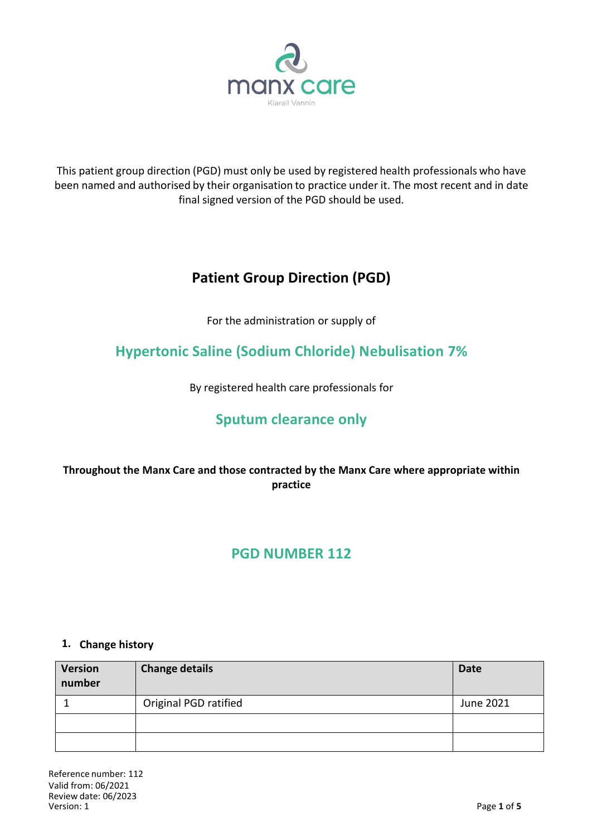

This patient group direction (PGD) must only be used by registered health professionals who have been named and authorised by their organisation to practice under it. The most recent and in date final signed version of the PGD should be used.

# **Patient Group Direction (PGD)**

For the administration or supply of

## **Hypertonic Saline (Sodium Chloride) Nebulisation 7%**

By registered health care professionals for

## **Sputum clearance only**

## **Throughout the Manx Care and those contracted by the Manx Care where appropriate within practice**

## **PGD NUMBER 112**

### **1. Change history**

| <b>Version</b><br>number | <b>Change details</b> | <b>Date</b> |
|--------------------------|-----------------------|-------------|
|                          | Original PGD ratified | June 2021   |
|                          |                       |             |
|                          |                       |             |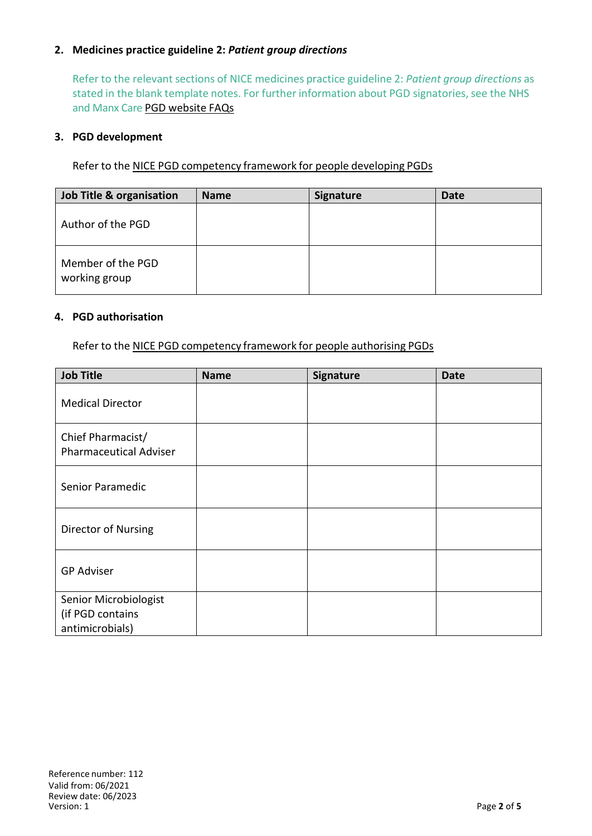### **2. Medicines practice guideline 2:** *Patient group directions*

Refer to the relevant sections of NICE medicines practice guideline 2: *Patient group directions* as stated in the blank template notes. For further information about PGD signatories, see the NHS and Manx Care PGD website FAQs

#### **3. PGD development**

Refer to the NICE PGD competency framework for people developing PGDs

| Job Title & organisation           | <b>Name</b> | Signature | <b>Date</b> |
|------------------------------------|-------------|-----------|-------------|
| Author of the PGD                  |             |           |             |
| Member of the PGD<br>working group |             |           |             |

#### **4. PGD authorisation**

Refer to the NICE PGD competency framework for people authorising PGDs

| <b>Job Title</b>                                             | <b>Name</b> | Signature | <b>Date</b> |
|--------------------------------------------------------------|-------------|-----------|-------------|
| <b>Medical Director</b>                                      |             |           |             |
| Chief Pharmacist/<br><b>Pharmaceutical Adviser</b>           |             |           |             |
| Senior Paramedic                                             |             |           |             |
| Director of Nursing                                          |             |           |             |
| <b>GP Adviser</b>                                            |             |           |             |
| Senior Microbiologist<br>(if PGD contains<br>antimicrobials) |             |           |             |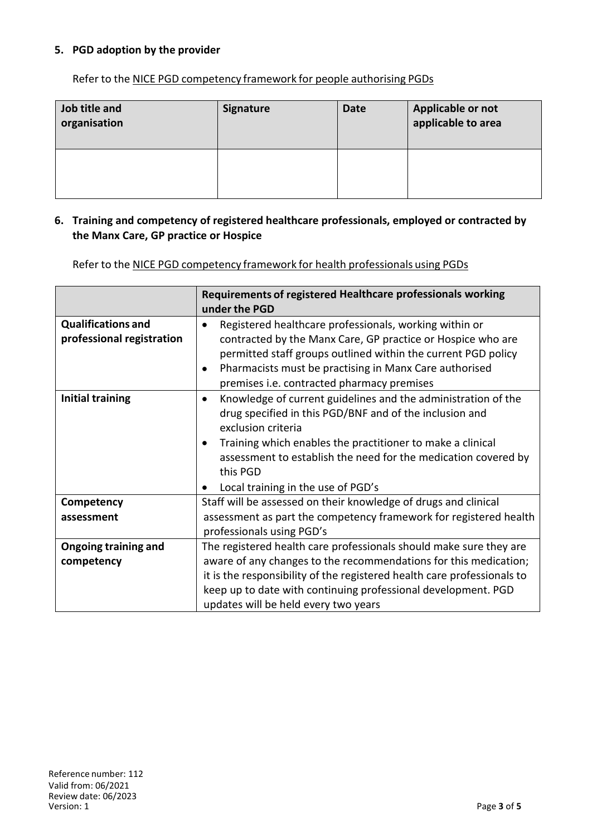### **5. PGD adoption by the provider**

Refer to the NICE PGD competency framework for people authorising PGDs

| Job title and<br>organisation | <b>Signature</b> | <b>Date</b> | Applicable or not<br>applicable to area |
|-------------------------------|------------------|-------------|-----------------------------------------|
|                               |                  |             |                                         |

#### **6. Training and competency of registered healthcare professionals, employed or contracted by the Manx Care, GP practice or Hospice**

Refer to the NICE PGD competency framework for health professionals using PGDs

|                                                        | Requirements of registered Healthcare professionals working<br>under the PGD                                                                                                                                                                                                                                                                  |
|--------------------------------------------------------|-----------------------------------------------------------------------------------------------------------------------------------------------------------------------------------------------------------------------------------------------------------------------------------------------------------------------------------------------|
| <b>Qualifications and</b><br>professional registration | Registered healthcare professionals, working within or<br>contracted by the Manx Care, GP practice or Hospice who are<br>permitted staff groups outlined within the current PGD policy<br>Pharmacists must be practising in Manx Care authorised<br>premises i.e. contracted pharmacy premises                                                |
| <b>Initial training</b>                                | Knowledge of current guidelines and the administration of the<br>$\bullet$<br>drug specified in this PGD/BNF and of the inclusion and<br>exclusion criteria<br>Training which enables the practitioner to make a clinical<br>assessment to establish the need for the medication covered by<br>this PGD<br>Local training in the use of PGD's |
| Competency                                             | Staff will be assessed on their knowledge of drugs and clinical                                                                                                                                                                                                                                                                               |
| assessment                                             | assessment as part the competency framework for registered health<br>professionals using PGD's                                                                                                                                                                                                                                                |
| <b>Ongoing training and</b>                            | The registered health care professionals should make sure they are                                                                                                                                                                                                                                                                            |
| competency                                             | aware of any changes to the recommendations for this medication;                                                                                                                                                                                                                                                                              |
|                                                        | it is the responsibility of the registered health care professionals to                                                                                                                                                                                                                                                                       |
|                                                        | keep up to date with continuing professional development. PGD                                                                                                                                                                                                                                                                                 |
|                                                        | updates will be held every two years                                                                                                                                                                                                                                                                                                          |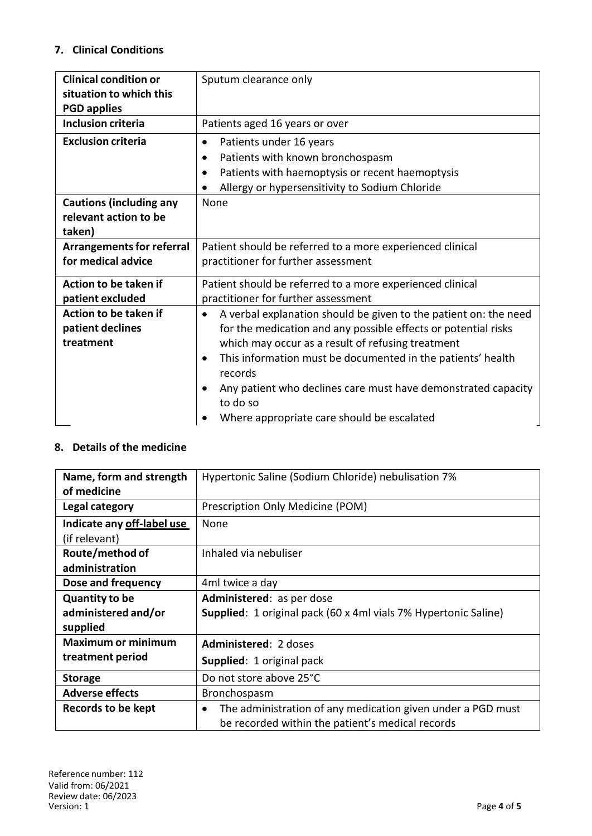## **7. Clinical Conditions**

| <b>Clinical condition or</b>     | Sputum clearance only                                                               |  |
|----------------------------------|-------------------------------------------------------------------------------------|--|
| situation to which this          |                                                                                     |  |
| <b>PGD applies</b>               |                                                                                     |  |
| <b>Inclusion criteria</b>        | Patients aged 16 years or over                                                      |  |
| <b>Exclusion criteria</b>        | Patients under 16 years<br>$\bullet$                                                |  |
|                                  | Patients with known bronchospasm<br>$\bullet$                                       |  |
|                                  | Patients with haemoptysis or recent haemoptysis<br>$\bullet$                        |  |
|                                  | Allergy or hypersensitivity to Sodium Chloride                                      |  |
| <b>Cautions (including any</b>   | None                                                                                |  |
| relevant action to be            |                                                                                     |  |
| taken)                           |                                                                                     |  |
| <b>Arrangements for referral</b> | Patient should be referred to a more experienced clinical                           |  |
| for medical advice               | practitioner for further assessment                                                 |  |
| Action to be taken if            | Patient should be referred to a more experienced clinical                           |  |
| patient excluded                 | practitioner for further assessment                                                 |  |
| Action to be taken if            | A verbal explanation should be given to the patient on: the need                    |  |
| patient declines                 | for the medication and any possible effects or potential risks                      |  |
| treatment                        | which may occur as a result of refusing treatment                                   |  |
|                                  | This information must be documented in the patients' health<br>$\bullet$<br>records |  |
|                                  | Any patient who declines care must have demonstrated capacity                       |  |
|                                  | to do so                                                                            |  |
|                                  | Where appropriate care should be escalated                                          |  |

### **8. Details of the medicine**

| Name, form and strength    | Hypertonic Saline (Sodium Chloride) nebulisation 7%                      |
|----------------------------|--------------------------------------------------------------------------|
| of medicine                |                                                                          |
| Legal category             | Prescription Only Medicine (POM)                                         |
| Indicate any off-label use | None                                                                     |
| (if relevant)              |                                                                          |
| Route/method of            | Inhaled via nebuliser                                                    |
| administration             |                                                                          |
| Dose and frequency         | 4ml twice a day                                                          |
| <b>Quantity to be</b>      | Administered: as per dose                                                |
| administered and/or        | <b>Supplied</b> : 1 original pack (60 x 4ml vials 7% Hypertonic Saline)  |
| supplied                   |                                                                          |
| <b>Maximum or minimum</b>  | Administered: 2 doses                                                    |
| treatment period           | Supplied: 1 original pack                                                |
| <b>Storage</b>             | Do not store above 25°C                                                  |
| <b>Adverse effects</b>     | <b>Bronchospasm</b>                                                      |
| Records to be kept         | The administration of any medication given under a PGD must<br>$\bullet$ |
|                            | be recorded within the patient's medical records                         |